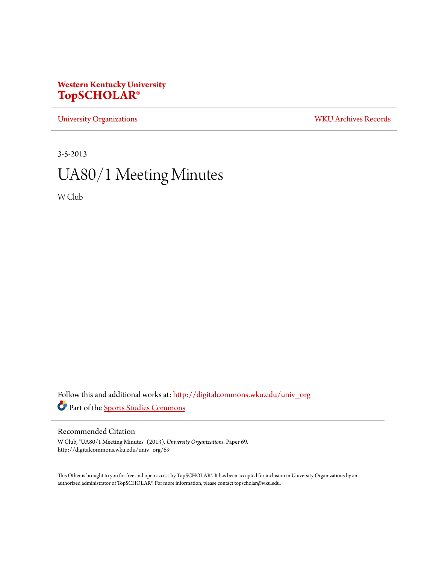# **Western Kentucky University [TopSCHOLAR®](http://digitalcommons.wku.edu?utm_source=digitalcommons.wku.edu%2Funiv_org%2F69&utm_medium=PDF&utm_campaign=PDFCoverPages)**

[University Organizations](http://digitalcommons.wku.edu/univ_org?utm_source=digitalcommons.wku.edu%2Funiv_org%2F69&utm_medium=PDF&utm_campaign=PDFCoverPages) [WKU Archives Records](http://digitalcommons.wku.edu/dlsc_ua_records?utm_source=digitalcommons.wku.edu%2Funiv_org%2F69&utm_medium=PDF&utm_campaign=PDFCoverPages)

3-5-2013

# UA80/1 Meeting Minutes

W Club

Follow this and additional works at: [http://digitalcommons.wku.edu/univ\\_org](http://digitalcommons.wku.edu/univ_org?utm_source=digitalcommons.wku.edu%2Funiv_org%2F69&utm_medium=PDF&utm_campaign=PDFCoverPages) Part of the [Sports Studies Commons](http://network.bepress.com/hgg/discipline/1198?utm_source=digitalcommons.wku.edu%2Funiv_org%2F69&utm_medium=PDF&utm_campaign=PDFCoverPages)

## Recommended Citation

W Club, "UA80/1 Meeting Minutes" (2013). *University Organizations.* Paper 69. http://digitalcommons.wku.edu/univ\_org/69

This Other is brought to you for free and open access by TopSCHOLAR®. It has been accepted for inclusion in University Organizations by an authorized administrator of TopSCHOLAR®. For more information, please contact topscholar@wku.edu.